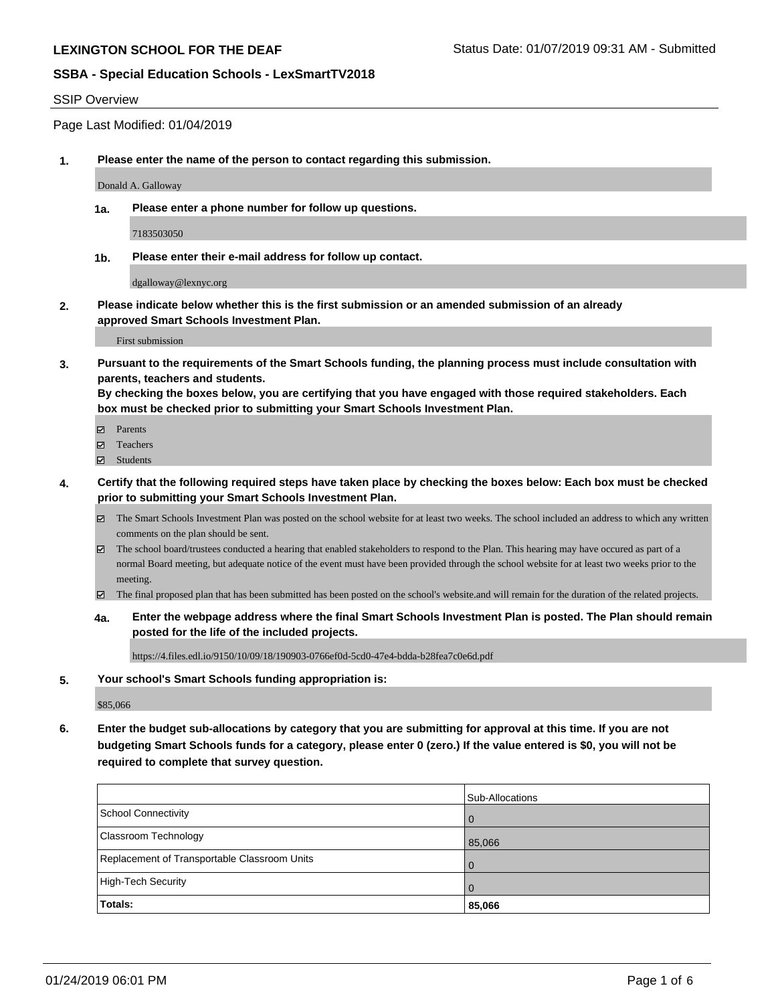### SSIP Overview

Page Last Modified: 01/04/2019

**1. Please enter the name of the person to contact regarding this submission.**

Donald A. Galloway

**1a. Please enter a phone number for follow up questions.**

7183503050

**1b. Please enter their e-mail address for follow up contact.**

dgalloway@lexnyc.org

**2. Please indicate below whether this is the first submission or an amended submission of an already approved Smart Schools Investment Plan.**

First submission

**3. Pursuant to the requirements of the Smart Schools funding, the planning process must include consultation with parents, teachers and students.**

**By checking the boxes below, you are certifying that you have engaged with those required stakeholders. Each box must be checked prior to submitting your Smart Schools Investment Plan.**

- $\blacksquare$  Parents
- Teachers
- Students
- **4. Certify that the following required steps have taken place by checking the boxes below: Each box must be checked prior to submitting your Smart Schools Investment Plan.**
	- $\boxtimes$  The Smart Schools Investment Plan was posted on the school website for at least two weeks. The school included an address to which any written comments on the plan should be sent.
	- $\boxtimes$  The school board/trustees conducted a hearing that enabled stakeholders to respond to the Plan. This hearing may have occured as part of a normal Board meeting, but adequate notice of the event must have been provided through the school website for at least two weeks prior to the meeting.
	- The final proposed plan that has been submitted has been posted on the school's website.and will remain for the duration of the related projects.
	- **4a. Enter the webpage address where the final Smart Schools Investment Plan is posted. The Plan should remain posted for the life of the included projects.**

https://4.files.edl.io/9150/10/09/18/190903-0766ef0d-5cd0-47e4-bdda-b28fea7c0e6d.pdf

**5. Your school's Smart Schools funding appropriation is:**

\$85,066

**6. Enter the budget sub-allocations by category that you are submitting for approval at this time. If you are not budgeting Smart Schools funds for a category, please enter 0 (zero.) If the value entered is \$0, you will not be required to complete that survey question.**

|                                              | Sub-Allocations |
|----------------------------------------------|-----------------|
| School Connectivity                          |                 |
| <b>Classroom Technology</b>                  | 85,066          |
| Replacement of Transportable Classroom Units |                 |
| High-Tech Security                           |                 |
| Totals:                                      | 85,066          |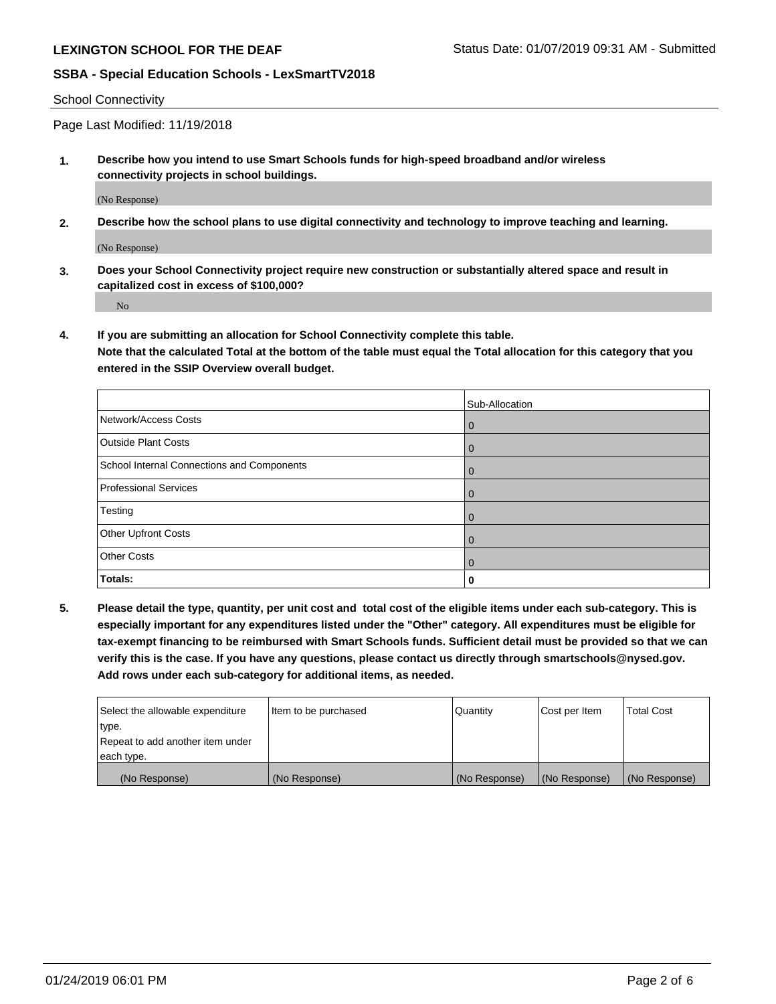School Connectivity

Page Last Modified: 11/19/2018

**1. Describe how you intend to use Smart Schools funds for high-speed broadband and/or wireless connectivity projects in school buildings.**

(No Response)

**2. Describe how the school plans to use digital connectivity and technology to improve teaching and learning.**

(No Response)

**3. Does your School Connectivity project require new construction or substantially altered space and result in capitalized cost in excess of \$100,000?**

No

**4. If you are submitting an allocation for School Connectivity complete this table.**

**Note that the calculated Total at the bottom of the table must equal the Total allocation for this category that you entered in the SSIP Overview overall budget.** 

|                                            | Sub-Allocation |
|--------------------------------------------|----------------|
| Network/Access Costs                       | $\overline{0}$ |
| <b>Outside Plant Costs</b>                 | $\overline{0}$ |
| School Internal Connections and Components | $\overline{0}$ |
| <b>Professional Services</b>               | $\Omega$       |
| Testing                                    | $\overline{0}$ |
| <b>Other Upfront Costs</b>                 | $\Omega$       |
| <b>Other Costs</b>                         | $\Omega$       |
| Totals:                                    | 0              |

**5. Please detail the type, quantity, per unit cost and total cost of the eligible items under each sub-category. This is especially important for any expenditures listed under the "Other" category. All expenditures must be eligible for tax-exempt financing to be reimbursed with Smart Schools funds. Sufficient detail must be provided so that we can verify this is the case. If you have any questions, please contact us directly through smartschools@nysed.gov. Add rows under each sub-category for additional items, as needed.**

| Select the allowable expenditure | Item to be purchased | Quantity      | Cost per Item | <b>Total Cost</b> |
|----------------------------------|----------------------|---------------|---------------|-------------------|
| type.                            |                      |               |               |                   |
| Repeat to add another item under |                      |               |               |                   |
| each type.                       |                      |               |               |                   |
| (No Response)                    | (No Response)        | (No Response) | (No Response) | (No Response)     |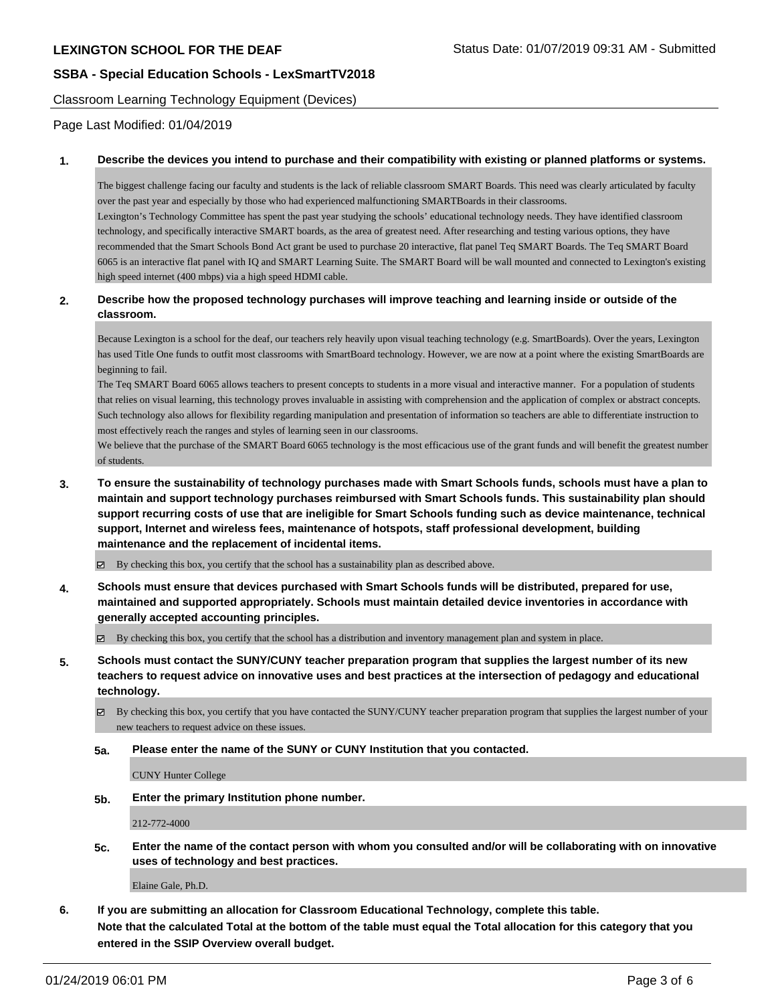high speed internet (400 mbps) via a high speed HDMI cable.

Classroom Learning Technology Equipment (Devices)

Page Last Modified: 01/04/2019

### **1. Describe the devices you intend to purchase and their compatibility with existing or planned platforms or systems.**

The biggest challenge facing our faculty and students is the lack of reliable classroom SMART Boards. This need was clearly articulated by faculty over the past year and especially by those who had experienced malfunctioning SMARTBoards in their classrooms. Lexington's Technology Committee has spent the past year studying the schools' educational technology needs. They have identified classroom technology, and specifically interactive SMART boards, as the area of greatest need. After researching and testing various options, they have recommended that the Smart Schools Bond Act grant be used to purchase 20 interactive, flat panel Teq SMART Boards. The Teq SMART Board 6065 is an interactive flat panel with IQ and SMART Learning Suite. The SMART Board will be wall mounted and connected to Lexington's existing

### **2. Describe how the proposed technology purchases will improve teaching and learning inside or outside of the classroom.**

Because Lexington is a school for the deaf, our teachers rely heavily upon visual teaching technology (e.g. SmartBoards). Over the years, Lexington has used Title One funds to outfit most classrooms with SmartBoard technology. However, we are now at a point where the existing SmartBoards are beginning to fail.

The Teq SMART Board 6065 allows teachers to present concepts to students in a more visual and interactive manner. For a population of students that relies on visual learning, this technology proves invaluable in assisting with comprehension and the application of complex or abstract concepts. Such technology also allows for flexibility regarding manipulation and presentation of information so teachers are able to differentiate instruction to most effectively reach the ranges and styles of learning seen in our classrooms.

We believe that the purchase of the SMART Board 6065 technology is the most efficacious use of the grant funds and will benefit the greatest number of students.

**3. To ensure the sustainability of technology purchases made with Smart Schools funds, schools must have a plan to maintain and support technology purchases reimbursed with Smart Schools funds. This sustainability plan should support recurring costs of use that are ineligible for Smart Schools funding such as device maintenance, technical support, Internet and wireless fees, maintenance of hotspots, staff professional development, building maintenance and the replacement of incidental items.**

By checking this box, you certify that the school has a sustainability plan as described above.

**4. Schools must ensure that devices purchased with Smart Schools funds will be distributed, prepared for use, maintained and supported appropriately. Schools must maintain detailed device inventories in accordance with generally accepted accounting principles.**

By checking this box, you certify that the school has a distribution and inventory management plan and system in place.

- **5. Schools must contact the SUNY/CUNY teacher preparation program that supplies the largest number of its new teachers to request advice on innovative uses and best practices at the intersection of pedagogy and educational technology.**
	- $\boxtimes$  By checking this box, you certify that you have contacted the SUNY/CUNY teacher preparation program that supplies the largest number of your new teachers to request advice on these issues.

### **5a. Please enter the name of the SUNY or CUNY Institution that you contacted.**

CUNY Hunter College

**5b. Enter the primary Institution phone number.**

212-772-4000

**5c. Enter the name of the contact person with whom you consulted and/or will be collaborating with on innovative uses of technology and best practices.**

Elaine Gale, Ph.D.

**6. If you are submitting an allocation for Classroom Educational Technology, complete this table. Note that the calculated Total at the bottom of the table must equal the Total allocation for this category that you entered in the SSIP Overview overall budget.**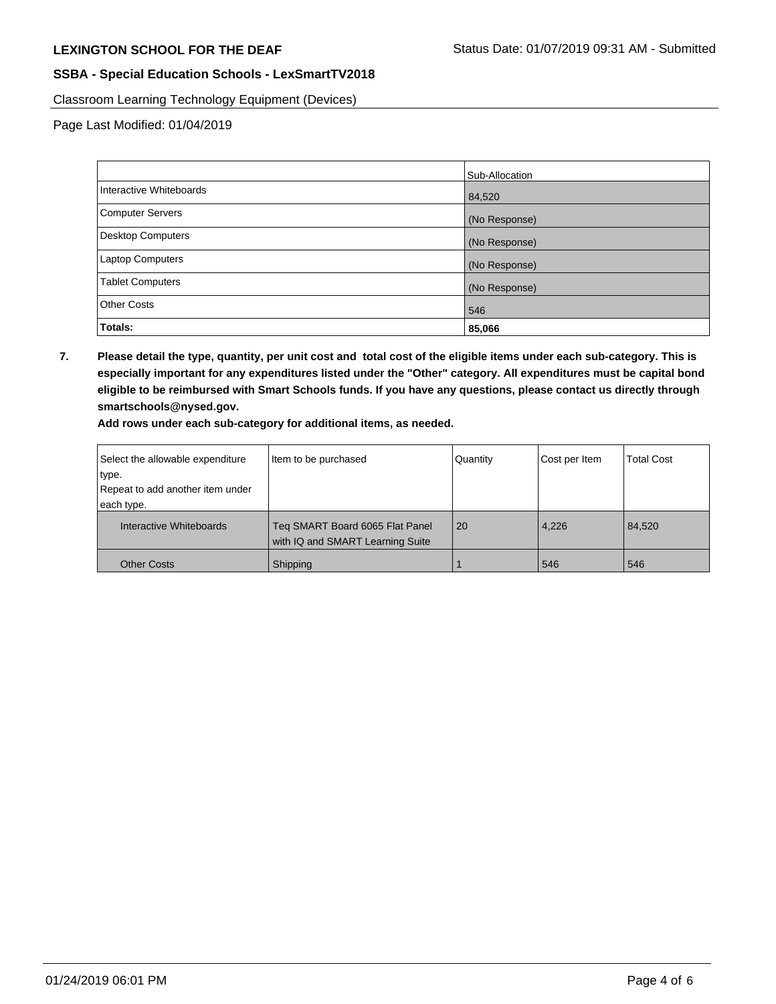Classroom Learning Technology Equipment (Devices)

Page Last Modified: 01/04/2019

|                         | Sub-Allocation |
|-------------------------|----------------|
| Interactive Whiteboards | 84,520         |
| Computer Servers        | (No Response)  |
| Desktop Computers       | (No Response)  |
| <b>Laptop Computers</b> | (No Response)  |
| <b>Tablet Computers</b> | (No Response)  |
| <b>Other Costs</b>      | 546            |
| Totals:                 | 85,066         |

**7. Please detail the type, quantity, per unit cost and total cost of the eligible items under each sub-category. This is especially important for any expenditures listed under the "Other" category. All expenditures must be capital bond eligible to be reimbursed with Smart Schools funds. If you have any questions, please contact us directly through smartschools@nysed.gov.**

**Add rows under each sub-category for additional items, as needed.**

| Select the allowable expenditure | Item to be purchased                                                | Quantity | Cost per Item | <b>Total Cost</b> |
|----------------------------------|---------------------------------------------------------------------|----------|---------------|-------------------|
| type.                            |                                                                     |          |               |                   |
| Repeat to add another item under |                                                                     |          |               |                   |
| each type.                       |                                                                     |          |               |                   |
| Interactive Whiteboards          | Teq SMART Board 6065 Flat Panel<br>with IQ and SMART Learning Suite | 20       | 4,226         | 84,520            |
| <b>Other Costs</b>               | Shipping                                                            |          | 546           | 546               |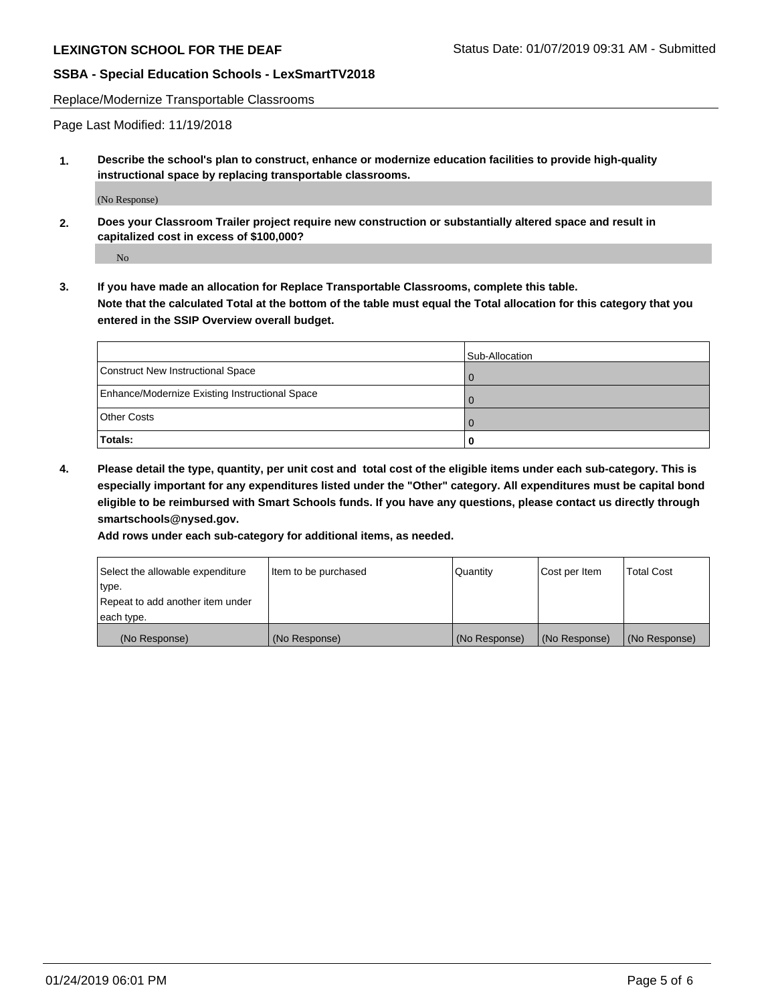Replace/Modernize Transportable Classrooms

Page Last Modified: 11/19/2018

**1. Describe the school's plan to construct, enhance or modernize education facilities to provide high-quality instructional space by replacing transportable classrooms.**

(No Response)

**2. Does your Classroom Trailer project require new construction or substantially altered space and result in capitalized cost in excess of \$100,000?**

No

**3. If you have made an allocation for Replace Transportable Classrooms, complete this table. Note that the calculated Total at the bottom of the table must equal the Total allocation for this category that you entered in the SSIP Overview overall budget.**

|                                                | Sub-Allocation |
|------------------------------------------------|----------------|
| Construct New Instructional Space              |                |
| Enhance/Modernize Existing Instructional Space |                |
| <b>Other Costs</b>                             |                |
| Totals:                                        | 0              |

**4. Please detail the type, quantity, per unit cost and total cost of the eligible items under each sub-category. This is especially important for any expenditures listed under the "Other" category. All expenditures must be capital bond eligible to be reimbursed with Smart Schools funds. If you have any questions, please contact us directly through smartschools@nysed.gov.**

**Add rows under each sub-category for additional items, as needed.**

| Select the allowable expenditure | Item to be purchased | Quantity      | Cost per Item | <b>Total Cost</b> |
|----------------------------------|----------------------|---------------|---------------|-------------------|
| type.                            |                      |               |               |                   |
| Repeat to add another item under |                      |               |               |                   |
| each type.                       |                      |               |               |                   |
| (No Response)                    | (No Response)        | (No Response) | (No Response) | (No Response)     |